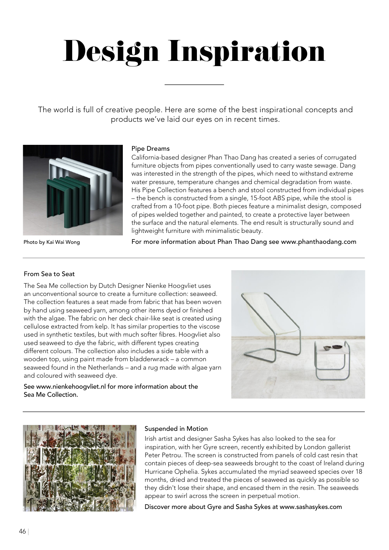# Design Inspiration<br>
products we've laid our eyes on in recent times.

The world is full of creative people. Here are some of the best inspirational concepts and products we've laid our eyes on in recent times. products we've laid our eyes on in recent times.



### Pipe Dreams Pipe Dreams Pipe Dreams

California-based designer Phan Thao Dang has created a series of corrugated California-based designer Phan Thao Dang has created a series of corrugated California-based designer Phan Thao Dang has created a series of corrugated<br>furniture objects from pipes conventionally used to carry waste sewage. Dang was interested in the strength of the pipes, which need to withstand extreme was interested in the strength of the pipes, which need to withstand extreme was interested in the strength of the pipes, which need to withstand extreme<br>water pressure, temperature changes and chemical degradation from waste. His Pipe Collection features a bench and stool constructed from individual pipes His Pipe Collection features a bench and stool constructed from individual pipes His Pipe Collection features a bench and stool constructed from individual pipes<br>– the bench is constructed from a single, 15-foot ABS pipe, while the stool is crafted from a 10-foot pipe. Both pieces feature a minimalist design, composed<br>of pipes welded together and painted, to create a protective layer between of pipes welded together and painted, to create a protective layer between of pipes welded together and painted, to create a protective layer between the surface and the natural elements. The end result is structurally sound and<br>lightweight furniture with minimalistic beauty. lightweight furniture with minimalistic beauty. lightweight furniture with minimalistic beauty.

Photo by Kai Wai Wong Photo by Kai Wai Wong Photo by Kai Wai Wong

For more information about Phan Thao Dang see www.phanthaodang.com For more information about Phan Thao Dang see www.phanthaodang.com For more information about Phan Thao Dang see www.phanthaodang.com

#### From Sea to Seat

The Sea Me collection by Dutch Designer Nienke Hoogvliet uses The Sea Me collection by Dutch Designer Nienke Hoogvliet uses The Sea Me collection by Dutch Designer Nienke Hoogvliet uses an unconventional source to create a furniture collection: seaweed. an unconventional source to create a furniture collection: seaweed. an unconventional source to create a furniture collection: seaweed. The collection features a seat made from fabric that has been woven The collection features a seat made from fabric that has been woven The collection features a seat made from fabric that has been woven by hand using seaweed yarn, among other items dyed or finished by hand using seaweed yarn, among other items dyed or finished by hand using seaweed yarn, among other items dyed or finished with the algae. The fabric on her deck chair-like seat is created using with the algae. The fabric on her deck chair-like seat is created using with the algae. The fabric on her deck chair-like seat is created using cellulose extracted from kelp. It has similar properties to the viscose cellulose extracted from kelp. It has similar properties to the viscose cellulose extracted from kelp. It has similar properties to the viscose used in synthetic textiles, but with much softer fibres. Hoogvliet also used in synthetic textiles, but with much softer fibres. Hoogvliet also used in synthetic textiles, but with much softer fibres. Hoogvliet also used seaweed to dye the fabric, with different types creating used seaweed to dye the fabric, with different types creating used seaweed to dye the fabric, with different types creating different colours. The collection also includes a side table with a different colours. The collection also includes a side table with a different colours. The collection also includes a side table with a wooden top, using paint made from bladderwrack – a common wooden top, using paint made from bladderwrack – a common wooden top, using paint made from bladderwrack – a common seaweed found in the Netherlands – and a rug made with algae yarn seaweed found in the Netherlands – and a rug made with algae yarn seaweed found in the Netherlands – and a rug made with algae yarn and coloured with seaweed dye. and coloured with seaweed dye. and coloured with seaweed dye.

See www.nienkehoogvliet.nl for more information about the Sea Me Collection. Sea Me Collection.





#### Suspended in Motion Suspended in Motion

Irish artist and designer Sasha Sykes has also looked to the sea for Irish artist and designer Sasha Sykes has also looked to the sea for Irish artist and designer Sasha Sykes has also looked to the sea for<br>inspiration, with her Gyre screen, recently exhibited by London gallerist Peter Petrou. The screen is constructed from panels of cold cast resin that Peter Petrou. The screen is constructed from panels of cold cast resin that Peter Petrou. The screen is constructed from panels of cold cast resin that<br>contain pieces of deep-sea seaweeds brought to the coast of Ireland during Hurricane Ophelia. Sykes accumulated the myriad seaweed species over 18 Hurricane Ophelia. Sykes accumulated the myriad seaweed species over 18 Hurricane Ophelia. Sykes accumulated the myriad seaweed species over 18<br>months, dried and treated the pieces of seaweed as quickly as possible so they didn't lose their shape, and encased them in the resin. The seaweeds appear to swirl across the screen in perpetual motion. appear to swirl across the screen in perpetual motion. appear to swirl across the screen in perpetual motion.

Discover more about Gyre and Sasha Sykes at www.sashasykes.com Discover more about Gyre and Sasha Sykes at www.sashasykes.com Discover more about Gyre and Sasha Sykes at www.sashasykes.com